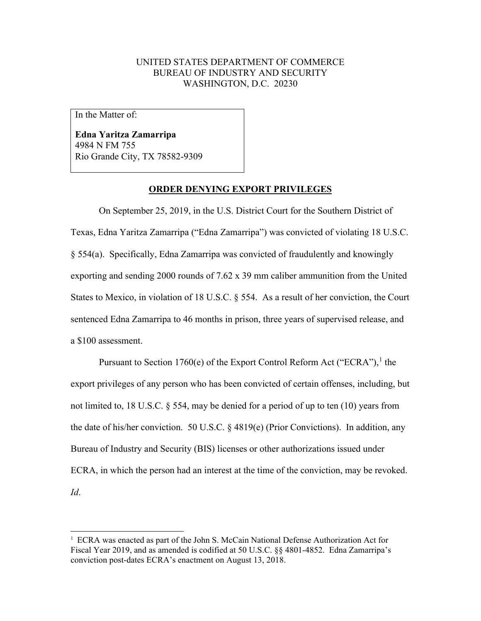## UNITED STATES DEPARTMENT OF COMMERCE BUREAU OF INDUSTRY AND SECURITY WASHINGTON, D.C. 20230

In the Matter of:

**Edna Yaritza Zamarripa** 4984 N FM 755 Rio Grande City, TX 78582-9309

## **ORDER DENYING EXPORT PRIVILEGES**

On September 25, 2019, in the U.S. District Court for the Southern District of Texas, Edna Yaritza Zamarripa ("Edna Zamarripa") was convicted of violating 18 U.S.C. § 554(a). Specifically, Edna Zamarripa was convicted of fraudulently and knowingly exporting and sending 2000 rounds of 7.62 x 39 mm caliber ammunition from the United States to Mexico, in violation of 18 U.S.C. § 554. As a result of her conviction, the Court sentenced Edna Zamarripa to 46 months in prison, three years of supervised release, and a \$100 assessment.

Pursuant to Section [1](#page-0-0)760(e) of the Export Control Reform Act ("ECRA").<sup>1</sup> the export privileges of any person who has been convicted of certain offenses, including, but not limited to, 18 U.S.C. § 554, may be denied for a period of up to ten (10) years from the date of his/her conviction. 50 U.S.C. § 4819(e) (Prior Convictions). In addition, any Bureau of Industry and Security (BIS) licenses or other authorizations issued under ECRA, in which the person had an interest at the time of the conviction, may be revoked. *Id*.

<span id="page-0-0"></span><sup>&</sup>lt;sup>1</sup> ECRA was enacted as part of the John S. McCain National Defense Authorization Act for Fiscal Year 2019, and as amended is codified at 50 U.S.C. §§ 4801-4852. Edna Zamarripa's conviction post-dates ECRA's enactment on August 13, 2018.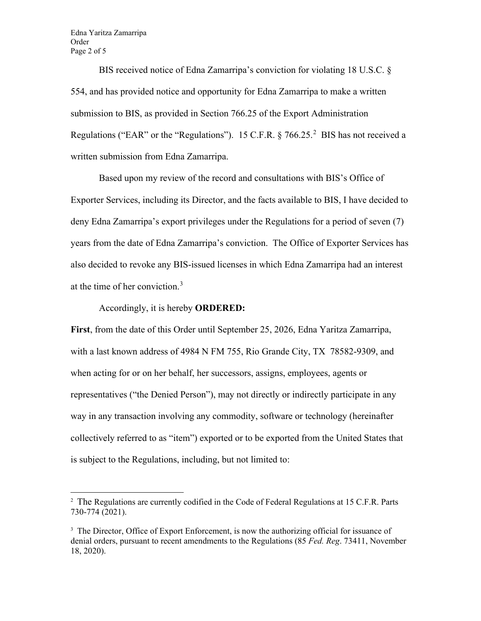Edna Yaritza Zamarripa Order Page 2 of 5

BIS received notice of Edna Zamarripa's conviction for violating 18 U.S.C. § 554, and has provided notice and opportunity for Edna Zamarripa to make a written submission to BIS, as provided in Section 766.25 of the Export Administration Regulations ("EAR" or the "Regulations"). 15 C.F.R.  $\S 766.25$  $\S 766.25$  $\S 766.25$ .<sup>2</sup> BIS has not received a written submission from Edna Zamarripa.

Based upon my review of the record and consultations with BIS's Office of Exporter Services, including its Director, and the facts available to BIS, I have decided to deny Edna Zamarripa's export privileges under the Regulations for a period of seven (7) years from the date of Edna Zamarripa's conviction. The Office of Exporter Services has also decided to revoke any BIS-issued licenses in which Edna Zamarripa had an interest at the time of her conviction.[3](#page-1-1)

## Accordingly, it is hereby **ORDERED:**

**First**, from the date of this Order until September 25, 2026, Edna Yaritza Zamarripa, with a last known address of 4984 N FM 755, Rio Grande City, TX 78582-9309, and when acting for or on her behalf, her successors, assigns, employees, agents or representatives ("the Denied Person"), may not directly or indirectly participate in any way in any transaction involving any commodity, software or technology (hereinafter collectively referred to as "item") exported or to be exported from the United States that is subject to the Regulations, including, but not limited to:

<span id="page-1-0"></span><sup>&</sup>lt;sup>2</sup> The Regulations are currently codified in the Code of Federal Regulations at 15 C.F.R. Parts 730-774 (2021).

<span id="page-1-1"></span><sup>&</sup>lt;sup>3</sup> The Director, Office of Export Enforcement, is now the authorizing official for issuance of denial orders, pursuant to recent amendments to the Regulations (85 *Fed. Reg*. 73411, November 18, 2020).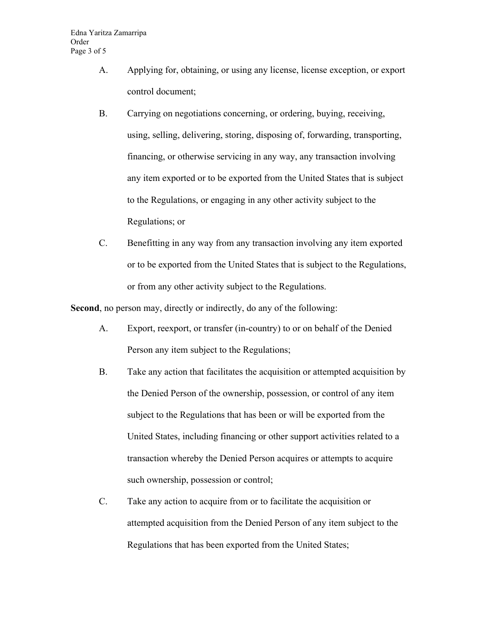- A. Applying for, obtaining, or using any license, license exception, or export control document;
- B. Carrying on negotiations concerning, or ordering, buying, receiving, using, selling, delivering, storing, disposing of, forwarding, transporting, financing, or otherwise servicing in any way, any transaction involving any item exported or to be exported from the United States that is subject to the Regulations, or engaging in any other activity subject to the Regulations; or
- C. Benefitting in any way from any transaction involving any item exported or to be exported from the United States that is subject to the Regulations, or from any other activity subject to the Regulations.

**Second**, no person may, directly or indirectly, do any of the following:

- A. Export, reexport, or transfer (in-country) to or on behalf of the Denied Person any item subject to the Regulations;
- B. Take any action that facilitates the acquisition or attempted acquisition by the Denied Person of the ownership, possession, or control of any item subject to the Regulations that has been or will be exported from the United States, including financing or other support activities related to a transaction whereby the Denied Person acquires or attempts to acquire such ownership, possession or control;
- C. Take any action to acquire from or to facilitate the acquisition or attempted acquisition from the Denied Person of any item subject to the Regulations that has been exported from the United States;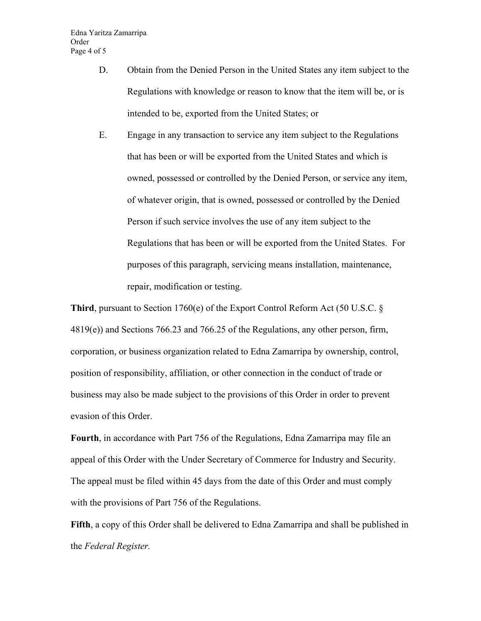- D. Obtain from the Denied Person in the United States any item subject to the Regulations with knowledge or reason to know that the item will be, or is intended to be, exported from the United States; or
- E. Engage in any transaction to service any item subject to the Regulations that has been or will be exported from the United States and which is owned, possessed or controlled by the Denied Person, or service any item, of whatever origin, that is owned, possessed or controlled by the Denied Person if such service involves the use of any item subject to the Regulations that has been or will be exported from the United States. For purposes of this paragraph, servicing means installation, maintenance, repair, modification or testing.

**Third**, pursuant to Section 1760(e) of the Export Control Reform Act (50 U.S.C.  $\S$ 4819(e)) and Sections 766.23 and 766.25 of the Regulations, any other person, firm, corporation, or business organization related to Edna Zamarripa by ownership, control, position of responsibility, affiliation, or other connection in the conduct of trade or business may also be made subject to the provisions of this Order in order to prevent evasion of this Order.

**Fourth**, in accordance with Part 756 of the Regulations, Edna Zamarripa may file an appeal of this Order with the Under Secretary of Commerce for Industry and Security. The appeal must be filed within 45 days from the date of this Order and must comply with the provisions of Part 756 of the Regulations.

**Fifth**, a copy of this Order shall be delivered to Edna Zamarripa and shall be published in the *Federal Register.*